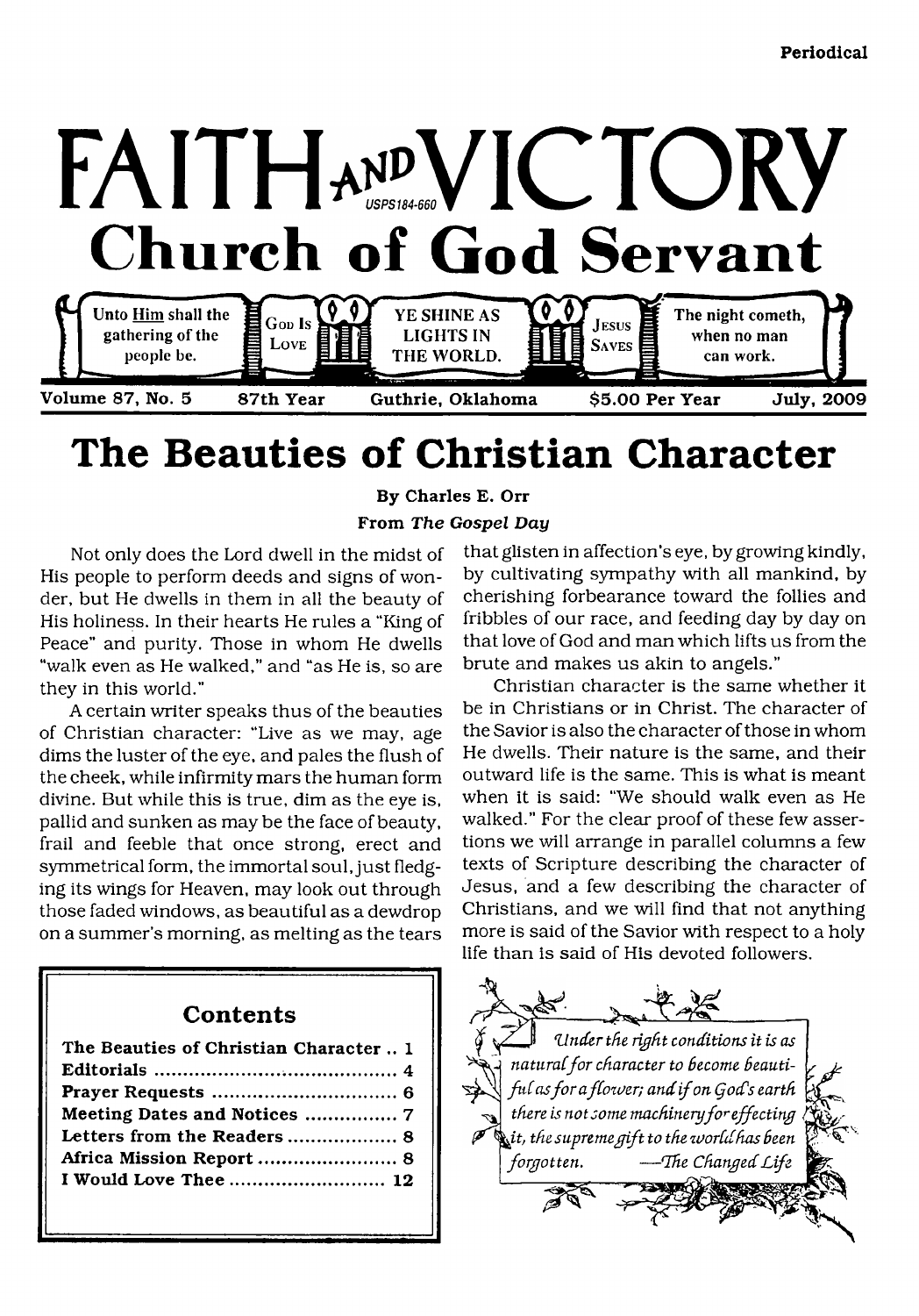

# **The Beauties of Christian Character**

**By Charles E. Orr From** *The Gospel Day*

Not only does the Lord dwell in the midst of His people to perform deeds and signs of wonder, but He dwells in them in all the beauty of His holiness. In their hearts He rules a "King of Peace" and purity. Those in whom He dwells "walk even as He walked," and "as He is, so are they in this world."

A certain writer speaks thus of the beauties of Christian character: "Live as we may, age dims the luster of the eye, and pales the flush of the cheek, while infirmity mars the human form divine. But while this is true, dim as the eye is, pallid and sunken as maybe the face of beauty, frail and feeble that once strong, erect and symmetrical form, the immortal soul, just fledging its wings for Heaven, may look out through those faded windows, as beautiful as a dewdrop on a summer's morning, as melting as the tears

# **Contents**

| The Beauties of Christian Character  1 |
|----------------------------------------|
|                                        |
|                                        |
| Meeting Dates and Notices  7           |
|                                        |
| Africa Mission Report  8               |
| I Would Love Thee  12                  |
|                                        |

that glisten in affection's eye, by growing kindly, by cultivating sympathy with all mankind, by cherishing forbearance toward the follies and fribbles of our race, and feeding day by day on that love of God and man which lifts us from the brute and makes us akin to angels."

Christian character is the same whether it be in Christians or in Christ. The character of the Savior is also the character of those in whom He dwells. Their nature is the same, and their outward life is the same. This is what is meant when it is said: "We should walk even as He walked." For the clear proof of these few assertions we will arrange in parallel columns a few texts of Scripture describing the character of Jesus, and a few describing the character of Christians, and we will find that not anything more is said of the Savior with respect to a holy life than is said of His devoted followers.

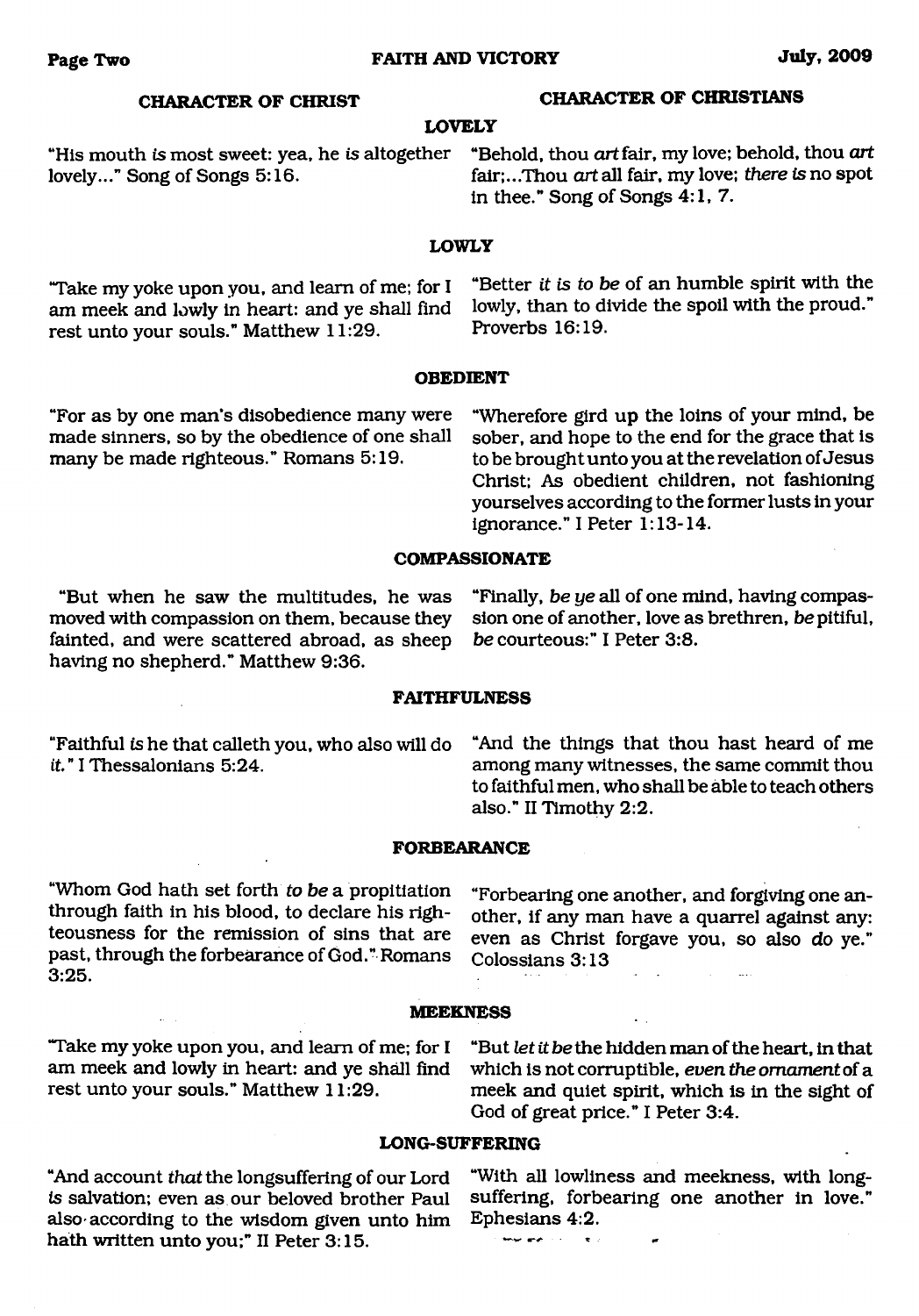**LOVELY**

## **CHARACTER OF CHRIST CHARACTER OF CHRISTIANS**

"His mouth *is* most sweet: yea, he is altogether "Behold, thou *art* fair, my love; behold, thou *art* fair;...Thou *art* all fair, my love; *there is* no spot in thee." Song of Songs 4:1, 7.

#### **LOWLY**

am meek and lowly in heart: and ye shall find lowly, than to divide the spotlement of the sponger of the proverbs  $16:19$ . rest unto your souls." Matthew  $11:29$ .

"Take my yoke upon you, and learn of me; for I "Better *it is to be* of an humble spirit with the

#### **OBEDIENT**

made sinners, so by the obedience of one shall sober, and hope to the end for the grace that is many be made righteous." Romans 5:19. the brought unto you at the revelation of Jesus

"For as by one man's disobedience many were "Wherefore gird up the loins of your mind, be to be brought unto you at the revelation of Jesus. Christ; As obedient children, not fashioning yourselves according to the former lusts in your ignorance." I Peter 1:13-14.

#### **COMPASSIONATE**

moved with compassion on them, because they sion one of another, love as fainted, and were scattered abroad, as sheep be courteous:" I Peter 3:8. fainted, and were scattered abroad, as sheep having no shepherd." Matthew 9:36.

"But when he saw the multitudes, he was "Finally, *be ye* all of one mind, having compas-

#### **FAITHFULNESS**

*it.*" I Thessalonians 5:24. **All among many witnesses, the same commit thou** 

"Faithful *is* he that calleth you, who also will do "And the things that thou hast heard of me to faithful men, who shall be able to teach others also." II Timothy 2:2.

#### **FORBEARANCE**

"Whom God hath set forth *to be* a propitiation through faith in his blood, to declare his righteousness for the remission of sins that are past, through the forbearance of God." Romans 3:25.

"Forbearing one another, and forgiving one another, if any man have a quarrel against any: even as Christ forgave you, so also do ye." Colossians 3:13

#### **MEEKNESS**

"Take my yoke upon you, and learn of me; for I "But *let it be* the hidden man of the heart, in that

am meek and lowly in heart: and ye shall find which is not corruptible, *even the ornament* of a rest unto your souls." Matthew 11:29. These and quiet spirit, which is in the sight of meek and quiet spirit, which is in the sight of God of great price." I Peter 3:4.

#### **LONG-SUFFERING**

also according to the wisdom given unto him Ephesians 4:2.<br>hath written unto you:" II Peter 3:15 hath written unto you;" II Peter 3:15.

"And account *that* the longsuffering of our Lord "With all lowliness and meekness, with longsuffering, forbearing one another in love."<br>Ephesians 4:2.

 $\bullet$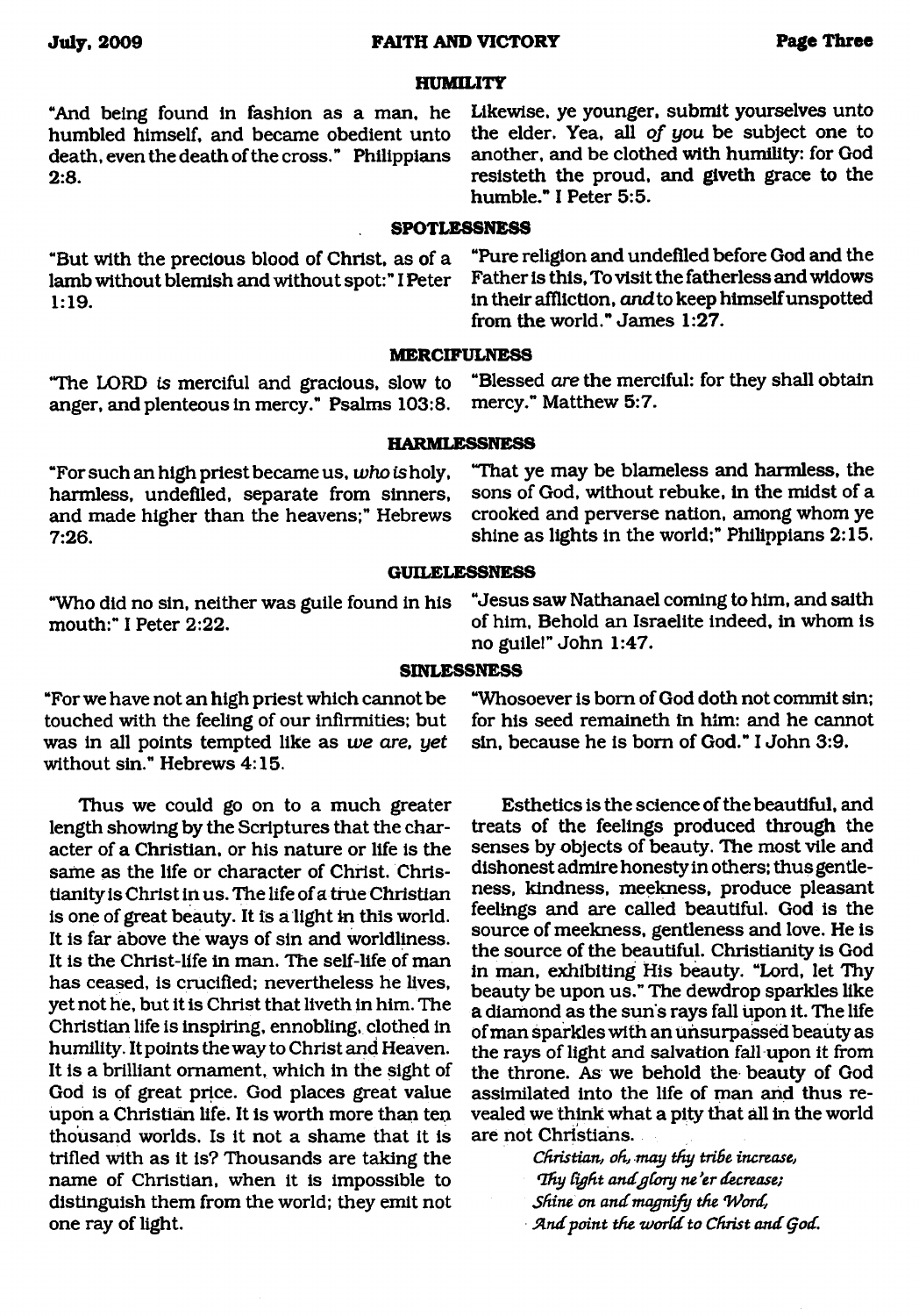#### **HUMILITY**

death, even the death of the cross." Philippians

"And being found in fashion as a man, he Likewise, ye younger, submit yourselves unto<br>humbled himself, and became obedient unto the elder. Yea, all of you be subject one to humbled himself, and became obedient unto the elder. Yea, all *of you* be subject one to death, even the death of the cross." Philippians another, and be clothed with humility: for God 2:8. **2:8. resisted in the proud, and give the grace to the** humble." I Peter 5:5.

#### **SPOTLESSNESS**

**MERCIFULNESS**

"But with the precious blood of Christ, as of a "Pure religion and undefiled before God and the<br>lamb without blemish and without spot:"I Peter Father is this, To visit the fatherless and widows lamb without blemish and without spot:" I Peter 1:19. in their affliction, *and* to keep himself unspotted

"The LORD *is* merciful and gracious, slow to "Blessed *are* the merciful: for they shall obtain anger, and plenteous in mercy." Psalms 103:8.

"For such an high priest became us, *who is* holy, harmless, undefiled, separate from sinners, and made higher than the heavens;" Hebrews 7:26.

"Who did no sin, neither was guile found in his mouth:" I Peter 2:22.

"For we have not an high priest which cannot be touched with the feeling of our infirmities; but was in all points tempted like as *we are, yet* without sin." Hebrews 4:15.

Thus we could go on to a much greater length showing by the Scriptures that the character of a Christian, or his nature or life is the same as the life or character of Christ. Christianity is Christ in us. The life of a true Christian is one of great beauty. It is a light in this world. It is far above the ways of sin and worldliness. It is the Christ-life in man. The self-life of man has ceased, is crucified; nevertheless he lives, yet not he, but it is Christ that liveth in him. The Christian life is inspiring, ennobling, clothed in humility. It points the way to Christ and Heaven. It is a brilliant ornament, which in the sight of God is of great price. God places great value upon a Christian life. It is worth more than ten thousand worlds. Is it not a shame that it is trifled with as it is? Thousands are taking the name of Christian, when it is impossible to distinguish them from the world; they emit not one ray of light.

**HARMLESSNESS**

from the world." James 1:27.

"That ye may be blameless and harmless, the sons of God, without rebuke, in the midst of a crooked and perverse nation, among whom ye shine as lights in the world;" Philippians 2:15.

#### **GUILELESSNESS**

"Jesus saw Nathanael coming to him, and saith of him. Behold an Israelite indeed, in whom is no guile!" John 1:47.

#### **SINLESSNESS**

"Whosoever is bom of God doth not commit sin; for his seed remaineth in him: and he cannot sin, because he is bom of God." I John 3:9.

Esthetics is the science of the beautiful, and treats of the feelings produced through the senses by objects of beauty. The most vile and dishonest admire honesty in others; thus gentleness, kindness, meekness, produce pleasant feelings and are called beautiful. God is the source of meekness, gentleness and love. He is the source of the beautiful. Christianity is God in man, exhibiting His beauty. "Lord, let Thy beauty be upon us." The dewdrop sparkles like a diamond as the sun's rays fall upon it. The life of man sparkles with an unsurpassed beauty as the rays of light and salvation fall upon it from the throne. As we behold the beauty of God assimilated into the life of man and thus revealed we think what a pity that all in the world are not Christians.

> *Christian, oh, may thy tribe increase, Hfiy fight andgCory ne 'er decrease; Shine on and magnify the Word,* And point the world to Christ and God.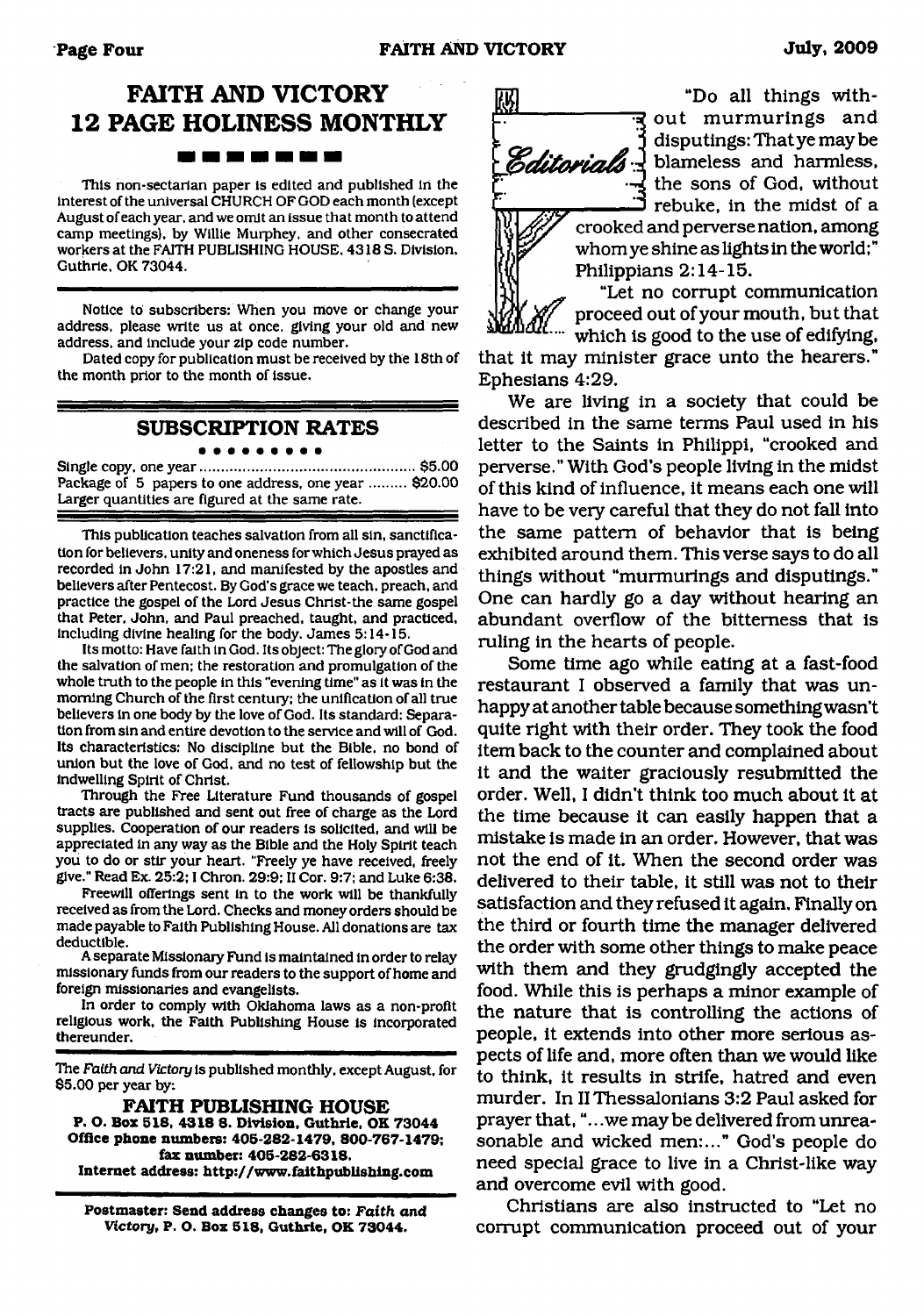# **FAITH AND VICTORY 12 PAGE HOLINESS MONTHLY**

#### . . . . . .

This non-sectarian paper is edited and published in the interest of the universal CHURCH OF GOD each month (except August of each year, and we omit an issue that month to attend camp meetings), by Willie Murphey, and other consecrated workers at the FAITH PUBLISHING HOUSE. 4318 S. Division. Guthrie. OK 73044.

Notice to subscribers: When you move or change your address, please write us at once, giving your old and new address, and include your zip code number.

Dated copy for publication must be received by the 18th of the month prior to the month of issue.

#### **SUBSCRIPTION RATES** . . . . . . . . .

Single copy, one year..................................................... \$5.00 Package of 5 papers to one address, one year ......... \$20.00 Larger quantities are figured at the same rate.

This publication teaches salvation from all sin, sanctification for believers, unity and oneness for which Jesus prayed as recorded in John 17:21, and manifested by the apostles and believers after Pentecost. By God's grace we teach, preach, and practice the gospel of the Lord Jesus Chrlst-the same gospel that Peter. John, and Paul preached, taught, and practiced, Including divine healing for the body. James 5:14-15.

Its motto: Have faith in God. Its object: The glory of God and the salvation of men: the restoration and promulgation of the whole truth to the people in this "evening time" as it was in the morning Church of the first century: the unification of all true believers in one body by the love of God. Its standard: Separation from sin and entire devotion to the service and will of God. Its characteristics: No discipline but the Bible, no bond of union but the love of God, and no test of fellowship but the indwelling Spirit of Christ.

Through the Free Literature Fund thousands of gospel tracts are published and sent out free of charge as the Lord supplies. Cooperation of our readers is solicited, and will be appreciated in any way as the Bible and the Holy Spirit teach you to do or stir your heart. "Freely ye have received, freely give." Read Ex. 25:2; I Chron. 29:9: II Cor. 9:7; and Luke 6:38.

Freewill offerings sent in to the work will be thankfully received as from the Lord. Checks and money orders should be made payable to Faith Publishing House. All donations are tax deductible.

A separate Missionary Fund is maintained in order to relay missionary funds from our readers to the support of home and foreign missionaries and evangelists.

In order to comply with Oklahoma laws as a non-profit religious work, the Faith Publishing House is incorporated thereunder.

The *Faith and Victory* is published monthly, except August, for \$5.00 per year by:

**FAITH PUBLISHING HOUSE P. O. Box 518. 4318 8. Division, Guthrie, OK 73044 Office phone numbers: 405-282-1479, 800-767-1479; fax number: 405-282-6318. Internet address: <http://www.faithpublishing.com>**

**Postmaster: Send address changes to:** *Faith and Victory,* **P. O. Box 518, Guthrie, OK 73044.**



"Do all things with-**<u>e</u>** out murmurings and  $j$  disputings: That ye may be Editorials J blameless and harmless, the sons of God, without I rebuke, in the midst of a

> $c$  rooked and perverse nation, among . *y* whom ye shine as lights in the world;" Philippians 2:14-15.

"Let no corrupt communication proceed out of your mouth, but that which is good to the use of edifying,

that it may minister grace unto the hearers." Ephesians 4:29.

We are living in a society that could be described in the same terms Paul used in his letter to the Saints in Philippi, "crooked and perverse." With God's people living in the midst of this kind of influence, it means each one will have to be very careful that they do not fall into the same pattern of behavior that is being exhibited around them. This verse says to do all things without "murmurings and disputings." One can hardly go a day without hearing an abundant overflow of the bitterness that is ruling in the hearts of people.

Some time ago while eating at a fast-food restaurant I observed a family that was unhappy at another table because something wasn't quite right with their order. They took the food item back to the counter and complained about it and the waiter graciously resubmitted the order. Well, I didn't think too much about it at the time because it can easily happen that a mistake is made in an order. However, that was not the end of it. When the second order was delivered to their table, it still was not to their satisfaction and they refused it again. Finally on the third or fourth time the manager delivered the order with some other things to make peace with them and they grudgingly accepted the food. While this is perhaps a minor example of the nature that is controlling the actions of people, it extends into other more serious aspects of life and, more often than we would like to think, it results in strife, hatred and even murder. In II Thessalonians 3:2 Paul asked for prayer that, ".. .we may be delivered from unreasonable and wicked men:..." God's people do need special grace to live in a Christ-like way and overcome evil with good.

Christians are also instructed to "Let no corrupt communication proceed out of your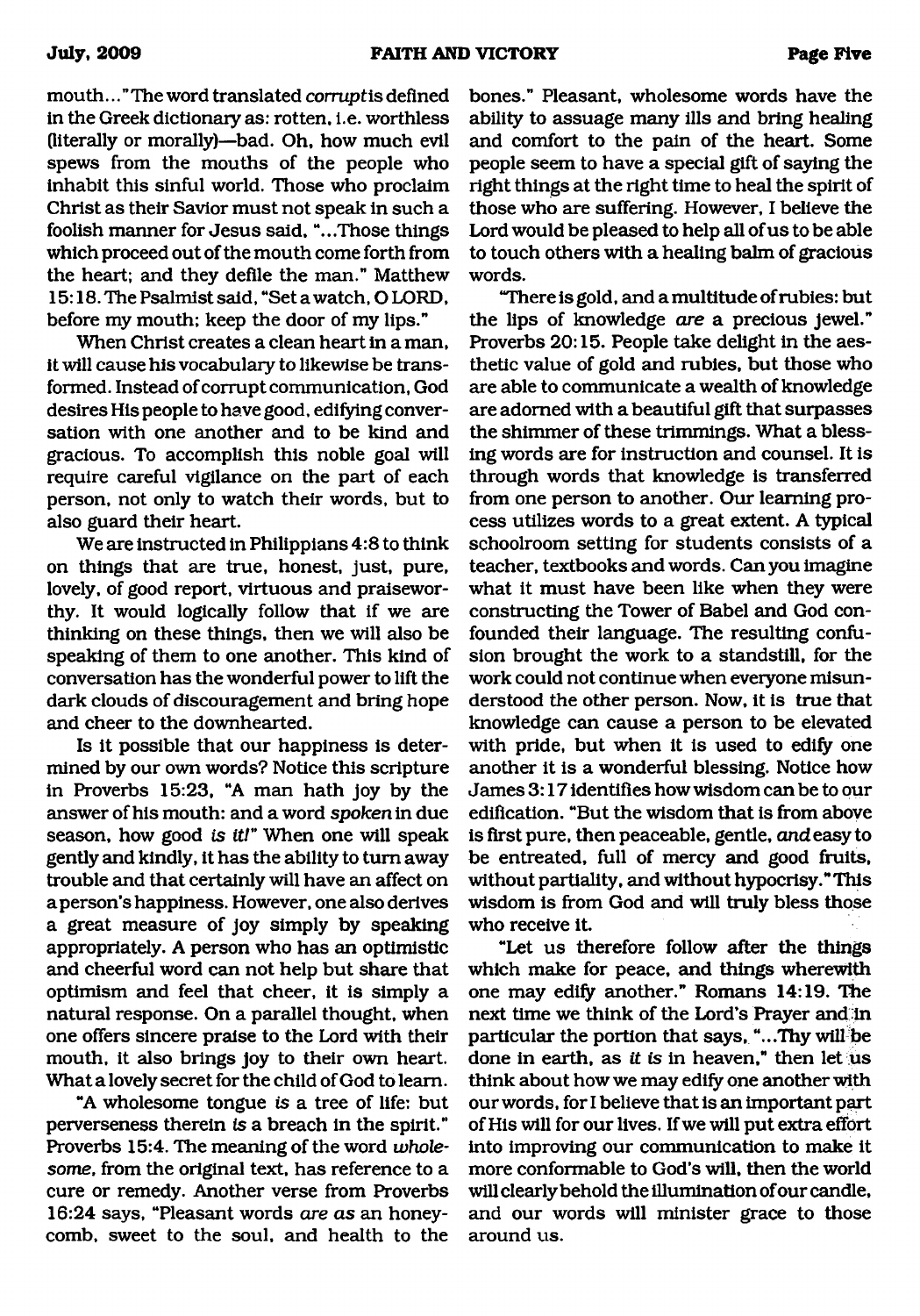mouth..." The word translated *corruptis* defined in the Greek dictionary as: rotten, i.e. worthless (literally or morally)—bad. Oh, how much evil spews from the mouths of the people who inhabit this sinful world. Those who proclaim Christ as their Savior must not speak in such a foolish manner for Jesus said, "...Those things which proceed out of the mouth come forth from the heart; and they defile the man." Matthew 15:18. The Psalmist said, "Set a watch, O LORD, before my mouth; keep the door of my lips."

When Christ creates a clean heart in a man, it will cause his vocabulary to likewise be transformed. Instead of corrupt communication, God desires His people to have good, edifying conversation with one another and to be kind and gracious. To accomplish this noble goal will require careful vigilance on the part of each person, not only to watch their words, but to also guard their heart.

We are instructed in Philippians 4:8 to think on things that are true, honest, just, pure, lovely, of good report, virtuous and praiseworthy. It would logically follow that if we are thinking on these things, then we will also be speaking of them to one another. This kind of conversation has the wonderful power to lift the dark clouds of discouragement and bring hope and cheer to the downhearted.

Is it possible that our happiness is determined by our own words? Notice this scripture in Proverbs 15:23, "A man hath joy by the answer of his mouth: and a word *spoken* in due season, how good *is it!"* When one will speak gently and kindly, it has the ability to turn away trouble and that certainly will have an affect on a person's happiness. However, one also derives a great measure of joy simply by speaking appropriately. A person who has an optimistic and cheerful word can not help but share that optimism and feel that cheer, it is simply a natural response. On a parallel thought, when one offers sincere praise to the Lord with their mouth, it also brings joy to their own heart. What a lovely secret for the child of God to learn.

"A wholesome tongue *is* a tree of life: but perverseness therein *is* a breach in the spirit." Proverbs 15:4. The meaning of the word *wholesome,* from the original text, has reference to a cure or remedy. Another verse from Proverbs 16:24 says, "Pleasant words *are as* an honeycomb, sweet to the soul, and health to the bones." Pleasant, wholesome words have the ability to assuage many ills and bring healing and comfort to the pain of the heart. Some people seem to have a special gift of saying the right things at the right time to heal the spirit of those who are suffering. However, I believe the Lord would be pleased to help all of us to be able to touch others with a healing balm of gracious words.

"There is gold, and a multitude of rubies: but the lips of knowledge *are* a precious jewel." Proverbs 20:15. People take delight in the aesthetic value of gold and rubies, but those who are able to communicate a wealth of knowledge are adorned with a beautiful gift that surpasses the shimmer of these trimmings. What a blessing words are for instruction and counsel. It is through words that knowledge is transferred from one person to another. Our learning process utilizes words to a great extent. A typical schoolroom setting for students consists of a teacher, textbooks and words. Can you imagine what it must have been like when they were constructing the Tower of Babel and God confounded their language. The resulting confusion brought the work to a standstill, for the work could not continue when everyone misunderstood the other person. Now, it is true that knowledge can cause a person to be elevated with pride, but when it is used to edify one another it is a wonderful blessing. Notice how James 3:17 identifies how wisdom can be to our edification. "But the wisdom that is from above is first pure, then peaceable, gentle, *and* easy to be entreated, full of mercy and good fruits, without partiality, and without hypocrisy." This wisdom is from God and will truly bless those who receive it.

"Let us therefore follow after the things which make for peace, and things wherewith one may edify another." Romans 14:19. The next time we think of the Lord's Prayer and in particular the portion that says, "...Thy will be done in earth, as *it is* in heaven," then let us think about how we may edify one another with our words, for I believe that is an important part of His will for our lives. If we will put extra effort into improving our communication to make it more conformable to God's will, then the world will clearly behold the illumination of our candle, and our words will minister grace to those around us.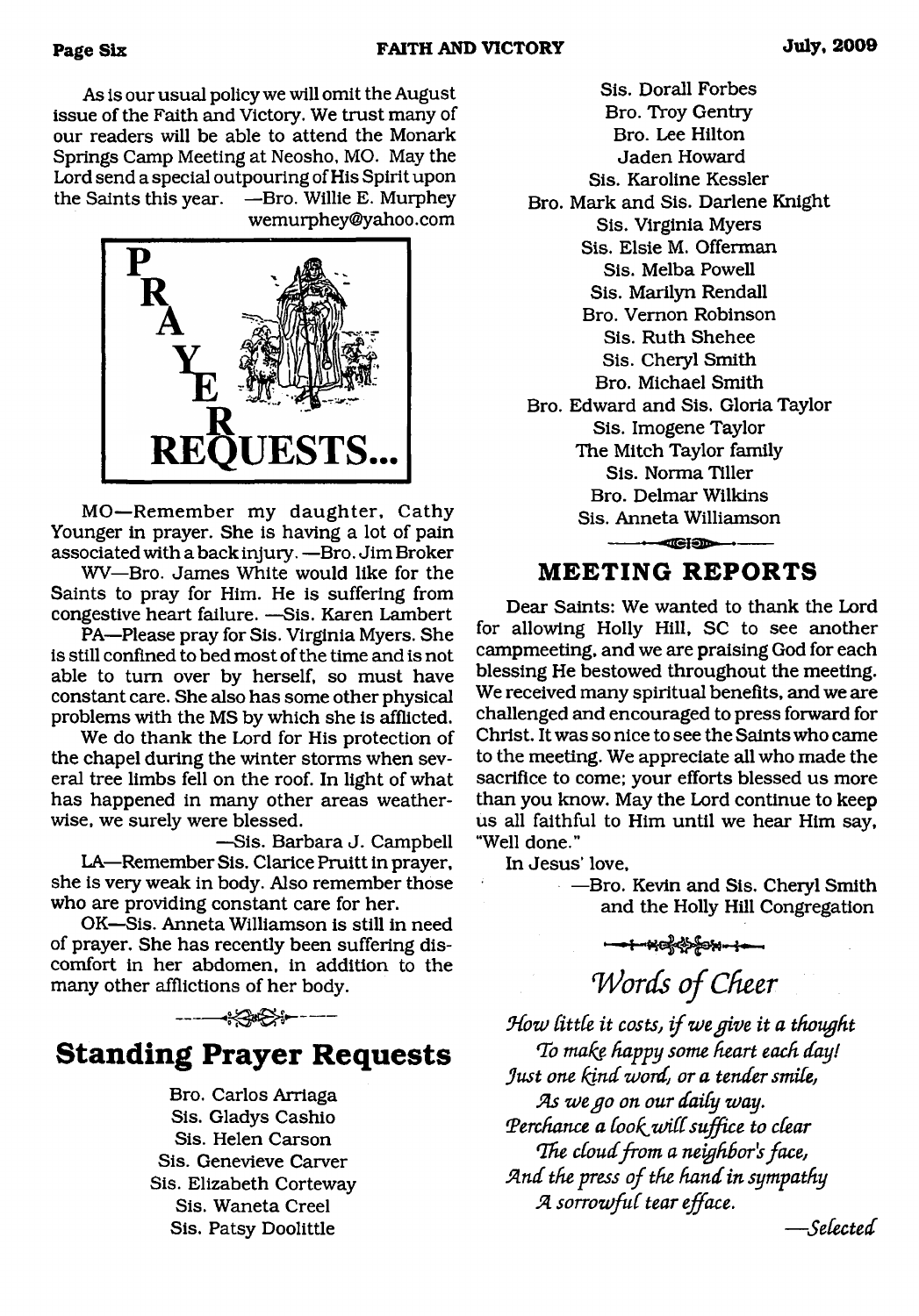As is our usual policy we will omit the August issue of the Faith and Victory. We trust many of our readers will be able to attend the Monark Springs Camp Meeting at Neosho, MO. May the Lord send a special outpouring of His Spirit upon the Saints this year. —Bro. Willie E. Murphey wemurphey@yahoo. com



MO—Remember my daughter, Cathy Younger in prayer. She is having a lot of pain associated with a back injury. —Bro. Jim Broker

WV—Bro. James White would like for the Saints to pray for Him. He is suffering from congestive heart failure. —Sis. Karen Lambert

PA—Please pray for Sis. Virginia Myers. She is still confined to bed most of the time and is not able to turn over by herself, so must have constant care. She also has some other physical problems with the MS by which she is afflicted.

We do thank the Lord for His protection of the chapel during the winter storms when several tree limbs fell on the roof. In light of what has happened in many other areas weatherwise, we surely were blessed.

—Sis. Barbara J. Campbell LA—Remember Sis. Clarice Pruitt in prayer, she is very weak in body. Also remember those who are providing constant care for her.

OK—Sis. Anneta Williamson is still in need of prayer. She has recently been suffering discomfort in her abdomen, in addition to the many other afflictions of her body.

**Standing Prayer Requests**

Bro. Carlos Arriaga Sis. Gladys Cashio Sis. Helen Carson Sis. Genevieve Carver Sis. Elizabeth Corteway Sis. Waneta Creel Sis. Patsy Doolittle

Sis. Dorall Forbes Bro. Troy Gentry Bro. Lee Hilton Jaden Howard Sis. Karoline Kessler Bro. Mark and Sis. Darlene Knight Sis. Virginia Myers Sis. Elsie M. Offerman Sis. Melba Powell Sis. Marilyn Rendall Bro. Vernon Robinson Sis. Ruth Shehee Sis. Cheryl Smith Bro. Michael Smith Bro. Edward and Sis. Gloria Taylor Sis. Imogene Taylor The Mitch Taylor family Sis. Norma Tiller Bro. Delmar Wilkins Sis. Anneta Williamson

# **MEETING REPORTS**

 $-$ Ciodente de la proporcional de la proporcion de la proporcion de la proporcion de la proporcion de la proporcion de la proporcion de la proporcion de la proporcion de la proporcion de la proporcion de la proporcion de

Dear Saints: We wanted to thank the Lord for allowing Holly Hill, SC to see another campmeeting, and we are praising God for each blessing He bestowed throughout the meeting. We received many spiritual benefits, and we are challenged and encouraged to press forward for Christ. It was so nice to see the Saints who came to the meeting. We appreciate all who made the sacrifice to come; your efforts blessed us more than you know. May the Lord continue to keep us all faithful to Him until we hear Him say, "Well done."

In Jesus' love,

**- Bro. Kevin and Sis. Cheryl Smith** and the Holly Hill Congregation

*Words of Cheer*

How little it costs, if we give it a thought *Ho make happy some heart each day! Just one kind word, or a tender smile, As we go on our daily way.* Perchance a look will suffice to clear *The cloud from a neighbor's face,* And the press of the hand in sympathy *A sorrowful tear efface.*

*— Selected*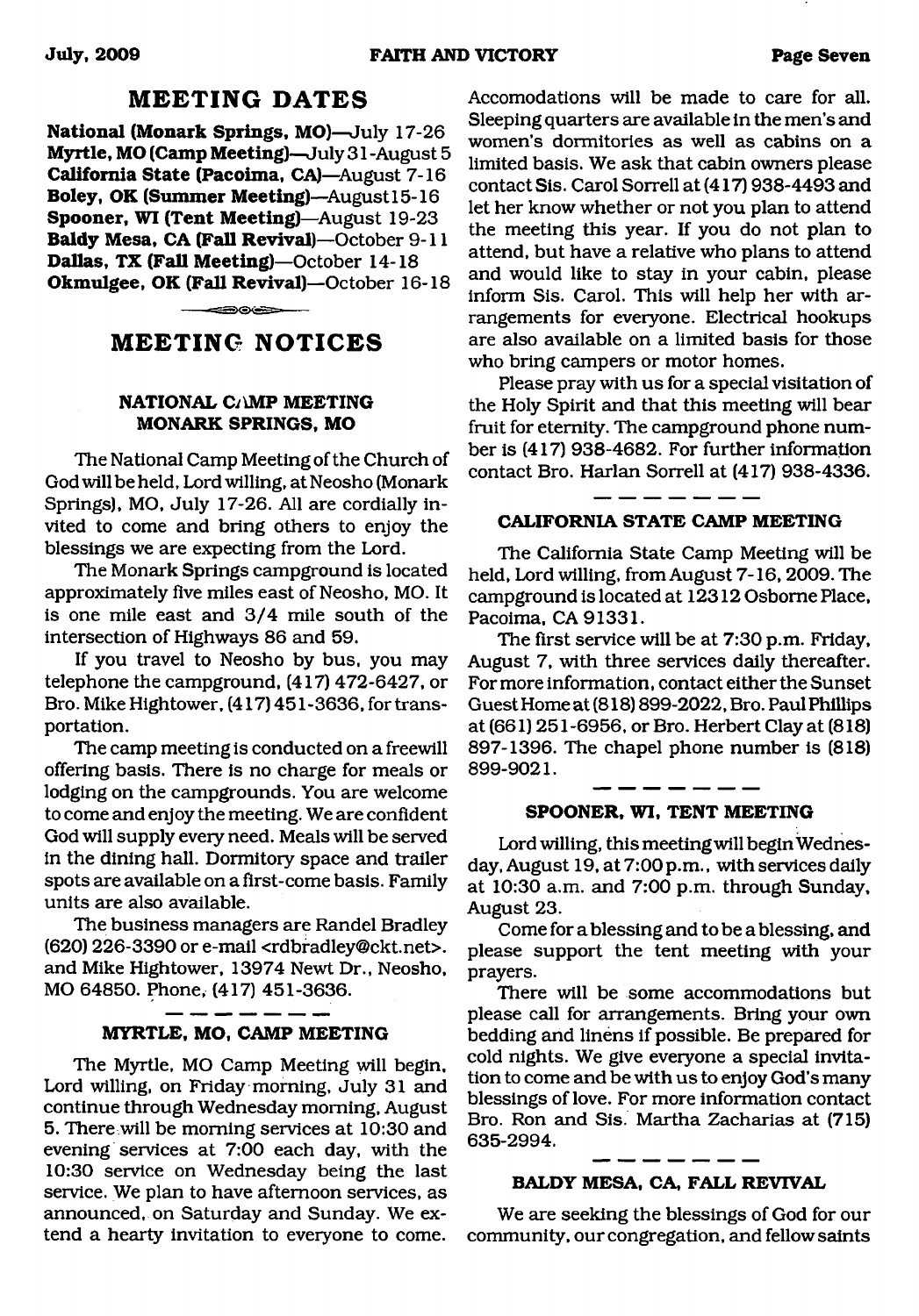### **MEETING DATES**

**National (Monark Springs, MO)**—July 17-26 **Myrtle, MO (Camp Meeting)**—July 31 -August 5 **California State (Pacoima, CA)—**August 7-16 **Boley, OK (Summer Meeting)—**August 15-16 **Spooner, WI (Tent Meeting)**—August 19-23 **Baldy Mesa, CA (Fall Revival)**—October 9-11 **Dallas, TX (Fall Meeting)**—October 14-18 **Okmulgee, OK (Fall Revival)**—October 16-18

# **MEETING NOTICES**

⊂≔⊙⊙⇔≔

### **NATIONAL Ci\MP MEETING MONARK SPRINGS, MO**

The National Camp Meeting of the Church of God will be held, Lord willing, at Neosho (Monark Springs), MO, July 17-26. All are cordially invited to come and bring others to enjoy the blessings we are expecting from the Lord.

The Monark Springs campground is located approximately five miles east of Neosho, MO. It is one mile east and 3/4 mile south of the intersection of Highways 86 and 59.

If you travel to Neosho by bus, you may telephone the campground, (417) 472-6427, or Bro. Mike Hightower, (417) 451-3636, for transportation.

The camp meeting is conducted on a freewill offering basis. There is no charge for meals or lodging on the campgrounds. You are welcome to come and enjoy the meeting. We are confident God will supply every need. Meals will be served in the dining hall. Dormitory space and trailer spots are available on a first-come basis. Family units are also available.

The business managers are Randel Bradley (620) 226-3390 or e-mail <[rdbradley@ckt.net](mailto:rdbradley@ckt.net)>. and Mike Hightower, 13974 Newt Dr., Neosho, MO 64850. Phone, (417) 451-3636.

#### **MYRTLE, MO, CAMP MEETING**

— — — — —

The Myrtle, MO Camp Meeting will begin. Lord willing, on Friday morning, July 31 and continue through Wednesday morning, August 5. There will be morning services at 10:30 and evening services at 7:00 each day, with the 10:30 service on Wednesday being the last service. We plan to have afternoon services, as announced, on Saturday and Sunday. We extend a hearty invitation to everyone to come.

Accomodations will be made to care for all. Sleeping quarters are available in the men's and women's dormitories as well as cabins on a limited basis. We ask that cabin owners please contact Sis. Carol Sorrell at (417) 938-4493 and let her know whether or not you plan to attend the meeting this year. If you do not plan to attend, but have a relative who plans to attend and would like to stay in your cabin, please inform Sis. Carol. This will help her with arrangements for everyone. Electrical hookups are also available on a limited basis for those who bring campers or motor homes.

Please pray with us for a special visitation of the Holy Spirit and that this meeting will bear fruit for eternity. The campground phone number is (417) 938-4682. For further information contact Bro. Harlan Sorrell at (417) 938-4336.

#### **CALIFORNIA STATE CAMP MEETING**

\_\_\_\_\_

The California State Camp Meeting will be held, Lord willing, from August 7-16, 2009. The campground is located at 12312 Osborne Place, Pacoima, CA 91331.

The first service will be at 7:30 p.m. Friday, August 7, with three services daily thereafter. For more information, contact either the Sunset Guest Home at (818) 899-2022, Bro. Paul Phillips at (661) 251-6956, or Bro. Herbert Clay at (818) 897-1396. The chapel phone number is (818) 899-9021.

#### **SPOONER, WI, TENT MEETING**

Lord willing, this meeting will begin Wednesday, August 19, at 7:00 p.m., with services daily at 10:30 a.m. and 7:00 p.m. through Sunday, August 23.

Come for a blessing and to be a blessing, and please support the tent meeting with your prayers.

There will be some accommodations but please call for arrangements. Bring your own bedding and linens if possible. Be prepared for cold nights. We give everyone a special invitation to come and be with us to enjoy God's many blessings of love. For more information contact Bro. Ron and Sis. Martha Zacharias at (715) 635-2994.

# **BALDY MESA, CA, FALL REVIVAL**

We are seeking the blessings of God for our community, our congregation, and fellow saints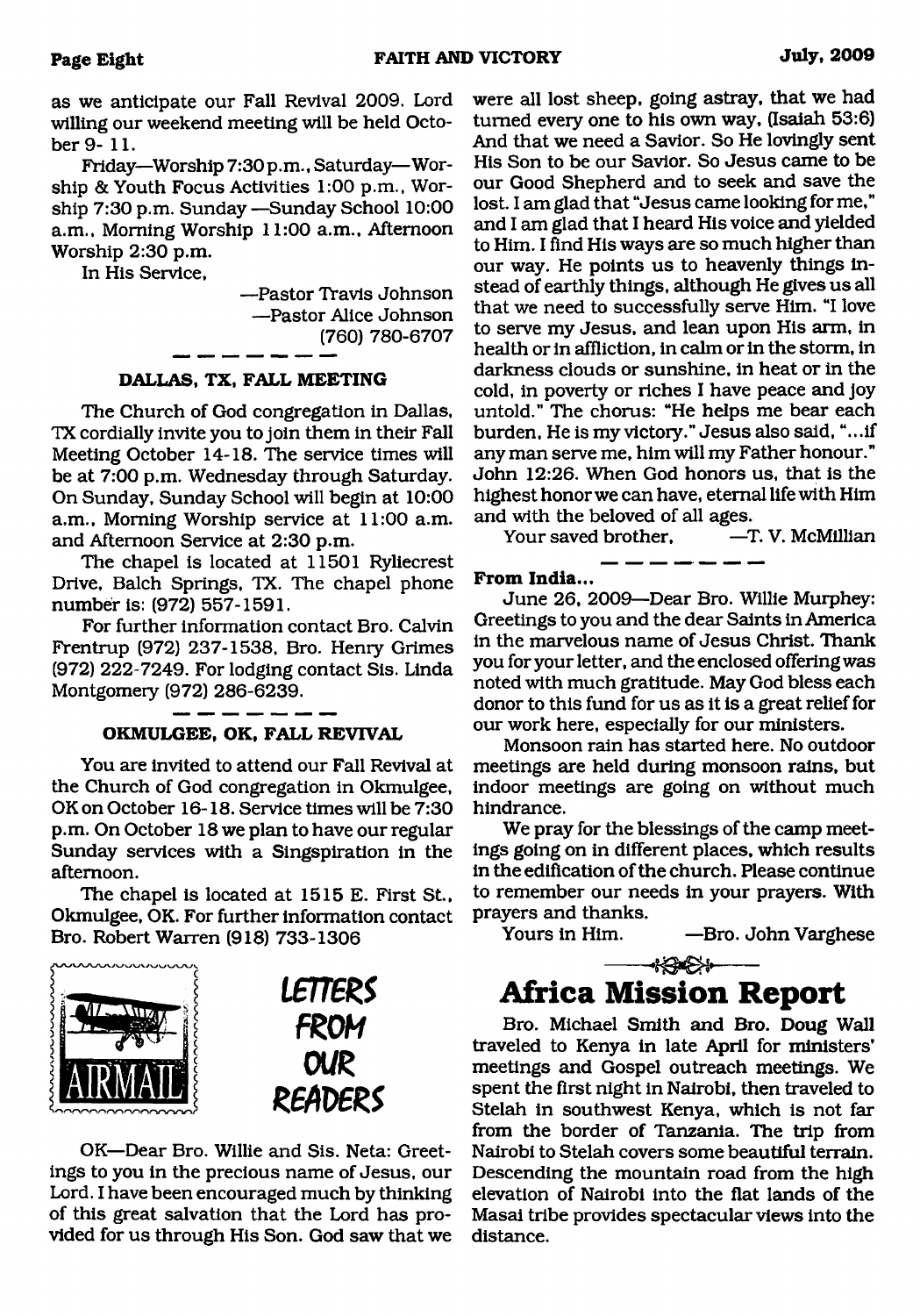as we anticipate our Fall Revival 2009. Lord willing our weekend meeting will be held October 9- 11.

Friday—Worship 7:30 p.m., Saturday—Worship & Youth Focus Activities 1:00 p.m., Worship 7:30 p.m. Sunday —Sunday School 10:00 a.m., Morning Worship 11:00 a.m.. Afternoon Worship 2:30 p.m.

In His Service,

—Pastor Travis Johnson —Pastor Alice Johnson (760) 780-6707

#### **DALLAS, TX, FALL MEETING**

The Church of God congregation in Dallas, TX cordially invite you to join them in their Fall Meeting October 14-18. The service times will be at 7:00 p.m. Wednesday through Saturday. On Sunday, Sunday School will begin at 10:00 a.m., Morning Worship service at 11:00 a.m. and Afternoon Service at 2:30 p.m.

The chapel is located at 11501 Ryliecrest Drive, Balch Springs, TX. The chapel phone number is: (972) 557-1591.

For further information contact Bro. Calvin Frentrup (972) 237-1538, Bro. Henry Grimes (972) 222-7249. For lodging contact Sis. Linda Montgomery (972) 286-6239.

#### **OKMULGEE, OK, FALL REVIVAL**

You are invited to attend our Fall Revival at the Church of God congregation in Okmulgee, OK on October 16-18. Service times will be 7:30 p.m. On October 18 we plan to have our regular Sunday services with a Singspiration in the afternoon.

The chapel is located at 1515 E. First St., Okmulgee, OK. For further information contact Bro. Robert Warren (918) 733-1306



OK—Dear Bro. Willie and Sis. Neta: Greetings to you in the precious name of Jesus, our Lord. I have been encouraged much by thinking of this great salvation that the Lord has provided for us through His Son. God saw that we were all lost sheep, going astray, that we had turned every one to his own way, (Isaiah 53:6) And that we need a Savior. So He lovingly sent His Son to be our Savior. So Jesus came to be our Good Shepherd and to seek and save the lost. I am glad that "Jesus came looking for me," and I am glad that I heard His voice and yielded to Him. I find His ways are so much higher than our way. He points us to heavenly things instead of earthly things, although He gives us all that we need to successfully serve Him. "I love to serve my Jesus, and lean upon His arm, in health or in affliction, in calm or in the storm, in darkness clouds or sunshine, in heat or in the cold, in poverty or riches I have peace and joy untold." The chorus: "He helps me bear each burden, He is my victory." Jesus also said, "...if any man serve me, him will my Father honour." John 12:26. When God honors us, that is the highest honor we can have, eternal life with Him and with the beloved of all ages.<br>Your saved brother. - T. V. McMillian

Your saved brother.

#### **From India...**

June 26, 2009—Dear Bro. Willie Murphey: Greetings to you and the dear Saints in America in the marvelous name of Jesus Christ. Thank you for your letter, and the enclosed offering was noted with much gratitude. May God bless each donor to this fund for us as it is a great relief for our work here, especially for our ministers.

Monsoon rain has started here. No outdoor meetings are held during monsoon rains, but indoor meetings are going on without much hindrance.

We pray for the blessings of the camp meetings going on in different places, which results in the edification of the church. Please continue to remember our needs in your prayers. With prayers and thanks.

Yours in Him. — Bro. John Varghese

# <span id="page-7-0"></span>--\*<del>3-2\*</del> **Africa Mission Report**

Bro. Michael Smith and Bro. Doug Wall traveled to Kenya in late April for ministers' meetings and Gospel outreach meetings. We spent the first night in Nairobi, then traveled to Stelah in southwest Kenya, which is not far from the border of Tanzania. The trip from Nairobi to Stelah covers some beautiful terrain. Descending the mountain road from the high elevation of Nairobi into the flat lands of the Masai tribe provides spectacular views into the distance.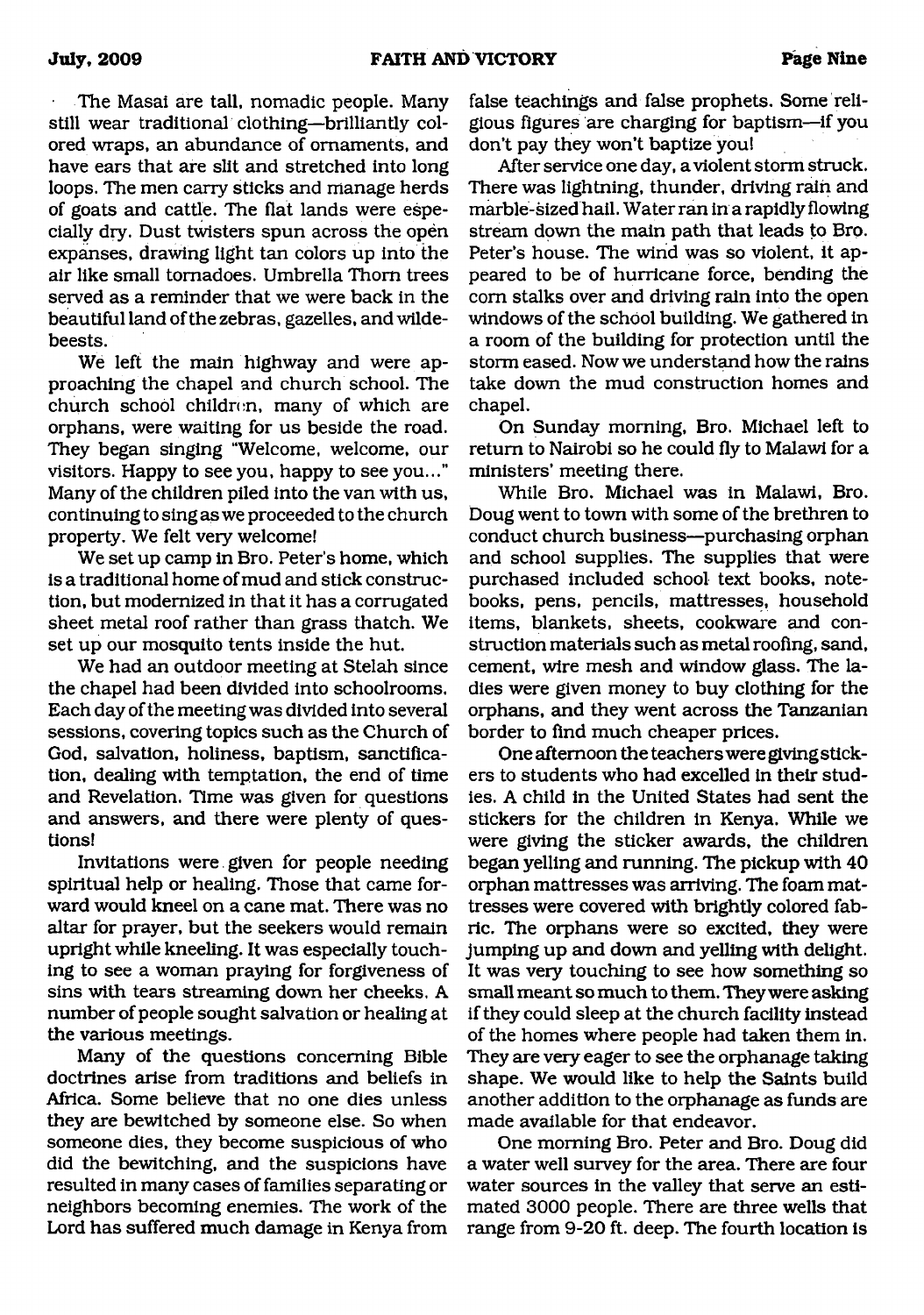The Masai are tall, nomadic people. Many still wear traditional clothing—brilliantly colored wraps, an abundance of ornaments, and have ears that are slit and stretched into long loops. The men carry sticks and manage herds of goats and cattle. The flat lands were especially dry. Dust twisters spun across the open expanses, drawing light tan colors up into the air like small tornadoes. Umbrella Thom trees served as a reminder that we were back in the beautiful land of the zebras, gazelles, and wildebeests.

We left the main highway and were approaching the chapel and church school. The church school children, many of which are orphans, were waiting for us beside the road. They began singing "Welcome, welcome, our visitors. Happy to see you, happy to see you..." Many of the children piled into the van with us, continuing to sing as we proceeded to the church property. We felt very welcome!

We set up camp in Bro. Peter's home, which is a traditional home of mud and stick construction, but modernized in that it has a corrugated sheet metal roof rather than grass thatch. We set up our mosquito tents inside the hut.

We had an outdoor meeting at Stelah since the chapel had been divided into schoolrooms. Each day of the meeting was divided into several sessions, covering topics such as the Church of God, salvation, holiness, baptism, sanctification, dealing with temptation, the end of time and Revelation. Time was given for questions and answers, and there were plenty of questions!

Invitations were given for people needing spiritual help or healing. Those that came forward would kneel on a cane mat. There was no altar for prayer, but the seekers would remain upright while kneeling. It was especially touching to see a woman praying for forgiveness of sins with tears streaming down her cheeks. A number of people sought salvation or healing at the various meetings.

Many of the questions concerning Bible doctrines arise from traditions and beliefs in Africa. Some believe that no one dies unless they are bewitched by someone else. So when someone dies, they become suspicious of who did the bewitching, and the suspicions have resulted in many cases of families separating or neighbors becoming enemies. The work of the Lord has suffered much damage in Kenya from false teachings and false prophets. Some religious figures are charging for baptism—if you don't pay they won't baptize you!

After service one day, a violent storm struck. There was lightning, thunder, driving rain and marble-sized hail. Water ran in a rapidly flowing stream down the main path that leads to Bro. Peter's house. The wind was so violent, it appeared to be of hurricane force, bending the com stalks over and driving rain into the open windows of the school building. We gathered in a room of the building for protection until the storm eased. Now we understand how the rains take down the mud construction homes and chapel.

On Sunday morning, Bro. Michael left to return to Nairobi so he could fly to Malawi for a ministers' meeting there.

While Bro. Michael was in Malawi, Bro. Doug went to town with some of the brethren to conduct church business—purchasing orphan and school supplies. The supplies that were purchased included school text books, notebooks, pens, pencils, mattresses, household items, blankets, sheets, cookware and construction materials such as metal roofing, sand, cement, wire mesh and window glass. The ladies were given money to buy clothing for the orphans, and they went across the Tanzanian border to find much cheaper prices.

One afternoon the teachers were giving stickers to students who had excelled in their studies. A child in the United States had sent the stickers for the children in Kenya. While we were giving the sticker awards, the children began yelling and running. The pickup with 40 orphan mattresses was arriving. The foam mattresses were covered with brightly colored fabric. The orphans were so excited, they were jumping up and down and yelling with delight. It was very touching to see how something so small meant so much to them. They were asking if they could sleep at the church facility instead of the homes where people had taken them in. They are very eager to see the orphanage taking shape. We would like to help the Saints build another addition to the orphanage as funds are made available for that endeavor.

One morning Bro. Peter and Bro. Doug did a water well survey for the area. There are four water sources in the valley that serve an estimated 3000 people. There are three wells that range from 9-20 ft. deep. The fourth location is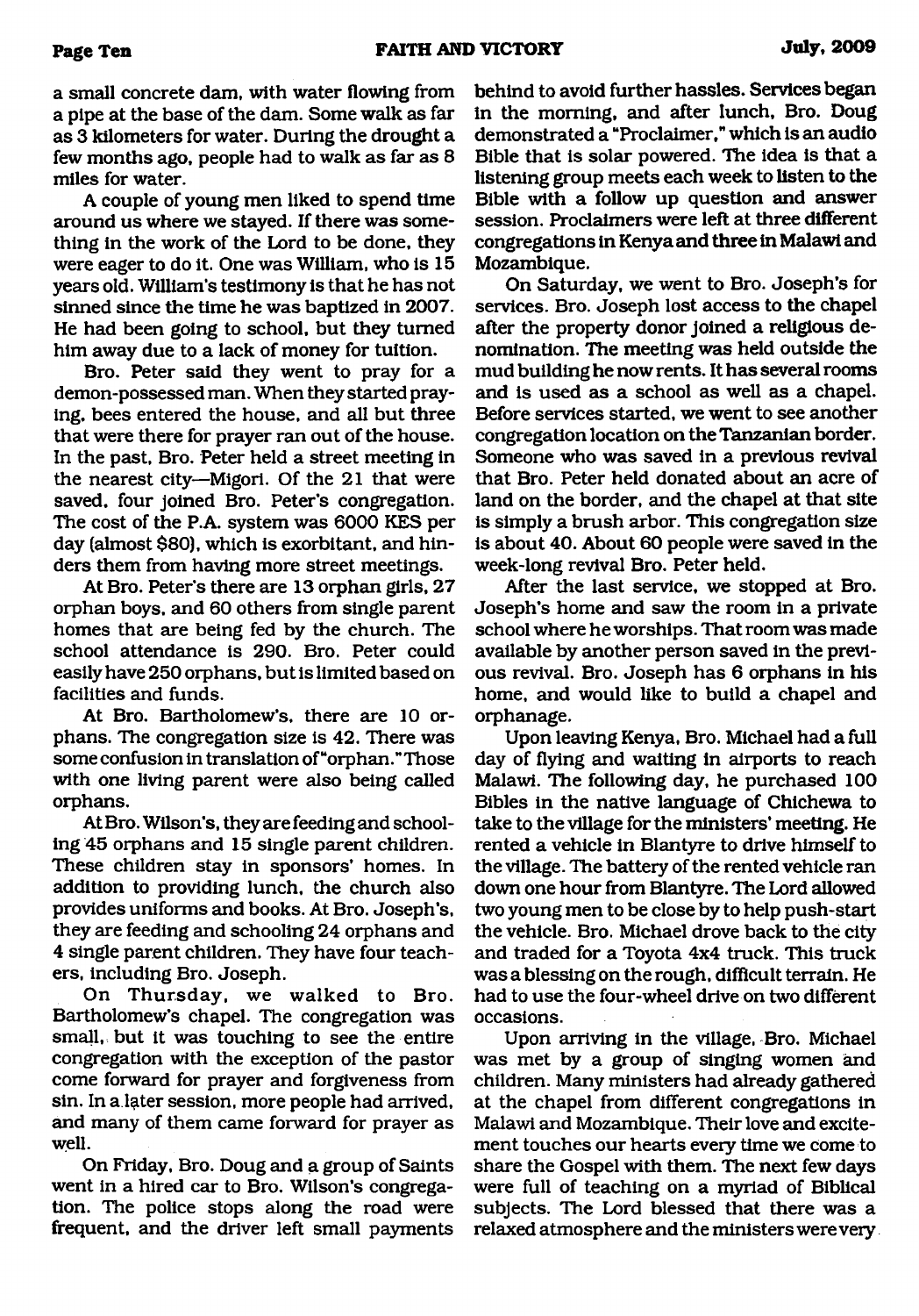a small concrete dam, with water flowing from a pipe at the base of the dam. Some walk as far as 3 kilometers for water. During the drought a few months ago, people had to walk as far as 8 miles for water.

A couple of young men liked to spend time around us where we stayed. If there was something in the work of the Lord to be done, they were eager to do it. One was William, who is 15 years old. William's testimony is that he has not sinned since the time he was baptized in 2007. He had been going to school, but they turned him away due to a lack of money for tuition.

Bro. Peter said they went to pray for a demon-possessed man. When they started praying, bees entered the house, and all but three that were there for prayer ran out of the house. In the past, Bro. Peter held a street meeting in the nearest city—Migori. Of the 21 that were saved, four joined Bro. Peter's congregation. The cost of the P.A. system was 6000 KES per day (almost \$80), which is exorbitant, and hinders them from having more street meetings.

At Bro. Peter's there are 13 orphan girls, 27 orphan boys, and 60 others from single parent homes that are being fed by the church. The school attendance is 290. Bro. Peter could easily have 250 orphans, but is limited based on facilities and funds.

At Bro. Bartholomew's, there are 10 orphans. The congregation size is 42. There was some confusion in translation of "orphan."Those with one living parent were also being called orphans.

At Bro. Wilson's, they are feeding and schooling 45 orphans and 15 single parent children. These children stay in sponsors' homes. In addition to providing lunch, the church also provides uniforms and books. At Bro. Joseph's, they are feeding and schooling 24 orphans and 4 single parent children. They have four teachers, including Bro. Joseph.

On Thursday, we walked to Bro. Bartholomew's chapel. The congregation was small, but it was touching to see the entire congregation with the exception of the pastor come forward for prayer and forgiveness from sin. In a later session, more people had arrived, and many of them came forward for prayer as well.

On Friday, Bro. Doug and a group of Saints went in a hired car to Bro. Wilson's congregation. The police stops along the road were frequent, and the driver left small payments

behind to avoid further hassles. Services began in the morning, and after lunch, Bro. Doug demonstrated a "Proclaimer," which is an audio Bible that is solar powered. The idea is that a listening group meets each week to listen to the Bible with a follow up question and answer session. Proclaimers were left at three different congregations in Kenya and three in Malawi and Mozambique.

On Saturday, we went to Bro. Joseph's for services. Bro. Joseph lost access to the chapel after the property donor joined a religious denomination. The meeting was held outside the mud building he now rents. It has several rooms and is used as a school as well as a chapel. Before services started, we went to see another congregation location on the Tanzanian border. Someone who was saved in a previous revival that Bro. Peter held donated about an acre of land on the border, and the chapel at that site is simply a brush arbor. This congregation size is about 40. About 60 people were saved in the week-long revival Bro. Peter held.

After the last service, we stopped at Bro. Joseph's home and saw the room in a private school where he worships. That room was made available by another person saved in the previous revival. Bro. Joseph has 6 orphans in his home, and would like to build a chapel and orphanage.

Upon leaving Kenya, Bro. Michael had a full day of flying and waiting in airports to reach Malawi. The following day, he purchased 100 Bibles in the native language of Chichewa to take to the village for the ministers' meeting. He rented a vehicle in Blantyre to drive himself to the village. The battery of the rented vehicle ran down one hour from Blantyre. The Lord allowed two young men to be close by to help push-start the vehicle. Bro. Michael drove back to the city and traded for a Toyota 4x4 truck. This truck was a blessing on the rough, difficult terrain. He had to use the four-wheel drive on two different occasions.

Upon arriving in the village, Bro. Michael was met by a group of singing women and children. Many ministers had already gathered at the chapel from different congregations in Malawi and Mozambique. Their love and excitement touches our hearts every time we come to share the Gospel with them. The next few days were full of teaching on a myriad of Biblical subjects. The Lord blessed that there was a relaxed atmosphere and the ministers were very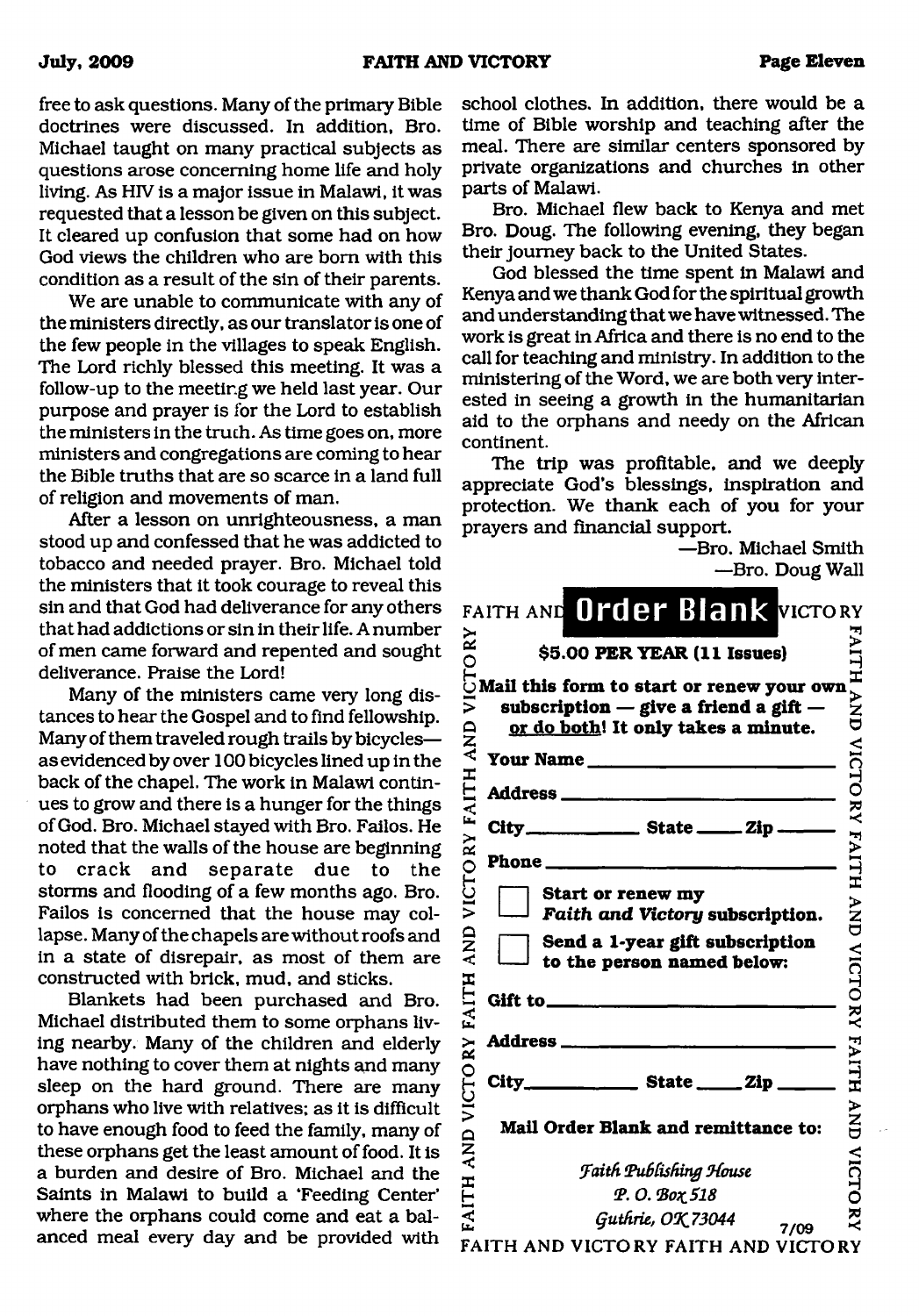free to ask questions. Many of the primary Bible doctrines were discussed. In addition, Bro. Michael taught on many practical subjects as questions arose concerning home life and holy living. As HIV is a major issue in Malawi, it was requested that a lesson be given on this subject. It cleared up confusion that some had on how God views the children who are bom with this condition as a result of the sin of their parents.

We are unable to communicate with any of the ministers directly, as our translator is one of the few people in the villages to speak English. The Lord richly blessed this meeting. It was a follow-up to the meeting we held last year. Our purpose and prayer is for the Lord to establish the ministers in the truth. As time goes on, more ministers and congregations are coming to hear the Bible truths that are so scarce in a land full of religion and movements of man.

After a lesson on unrighteousness, a man stood up and confessed that he was addicted to tobacco and needed prayer. Bro. Michael told the ministers that it took courage to reveal this sin and that God had deliverance for any others that had addictions or sin in their life. A number of men came forward and repented and sought deliverance. Praise the Lord!

Many of the ministers came very long distances to hear the Gospel and to find fellowship. Many of them traveled rough trails by bicycles as evidenced by over 100 bicycles lined up in the back of the chapel. The work in Malawi continues to grow and there is a hunger for the things of God. Bro. Michael stayed with Bro. Failos. He noted that the walls of the house are beginning to crack and separate due to the storms and flooding of a few months ago. Bro. Failos is concerned that the house may collapse. Many of the chapels are without roofs and in a state of disrepair, as most of them are constructed with brick, mud, and sticks.

Blankets had been purchased and Bro. Michael distributed them to some orphans living nearby. Many of the children and elderly have nothing to cover them at nights and many sleep on the hard ground. There are many orphans who live with relatives; as it is difficult to have enough food to feed the family, many of these orphans get the least amount of food. It is a burden and desire of Bro. Michael and the Saints in Malawi to build a 'Feeding Center' where the orphans could come and eat a balanced meal every day and be provided with

school clothes. In addition, there would be a time of Bible worship and teaching after the meal. There are similar centers sponsored by private organizations and churches in other parts of Malawi.

Bro. Michael flew back to Kenya and met Bro. Doug. The following evening, they began their journey back to the United States.

God blessed the time spent in Malawi and Kenya and we thank God for the spiritual growth and understanding that we have witnessed. The work is great in Africa and there is no end to the call for teaching and ministry. In addition to the ministering of the Word, we are both very interested in seeing a growth in the humanitarian aid to the orphans and needy on the African continent.

The trip was profitable, and we deeply appreciate God's blessings, inspiration and protection. We thank each of you for your prayers and financial support.

> —Bro. Michael Smith —Bro. Doug Wall

|                             | DIV. DUUG WAL                                                                                                                 |                        |
|-----------------------------|-------------------------------------------------------------------------------------------------------------------------------|------------------------|
|                             | FAITH AND Order Blank VICTORY                                                                                                 |                        |
|                             | \$5.00 PER YEAR (11 Issues)                                                                                                   |                        |
| VICTORY                     | Mail this form to start or renew your own<br>subscription $-$ give a friend a gift $-$<br>or do both! It only takes a minute. | AITH AND VICTORY FAITH |
|                             | Your Name                                                                                                                     |                        |
|                             |                                                                                                                               |                        |
| VICTORY FAITH AND           | City_________________________ State _________ Zip ________                                                                    |                        |
|                             |                                                                                                                               |                        |
|                             | Start or renew my<br>Faith and Victory subscription.                                                                          | AND                    |
|                             | Send a 1-year gift subscription<br>to the person named below:                                                                 | <b>VICTORY</b>         |
|                             |                                                                                                                               |                        |
|                             | <b>Address</b> _____                                                                                                          | FAITH                  |
|                             |                                                                                                                               |                        |
| FAITH AND VICTORY FAITH AND | Mail Order Blank and remittance to:                                                                                           | NAD                    |
|                             | <b>Faith Publishing House</b>                                                                                                 | <b>VICTO</b>           |
|                             | P. O. Box 518                                                                                                                 |                        |
|                             | Guthrie, OK 73044<br>7/09                                                                                                     | ž                      |
|                             | FAITH AND VICTORY FAITH AND VICTORY                                                                                           |                        |